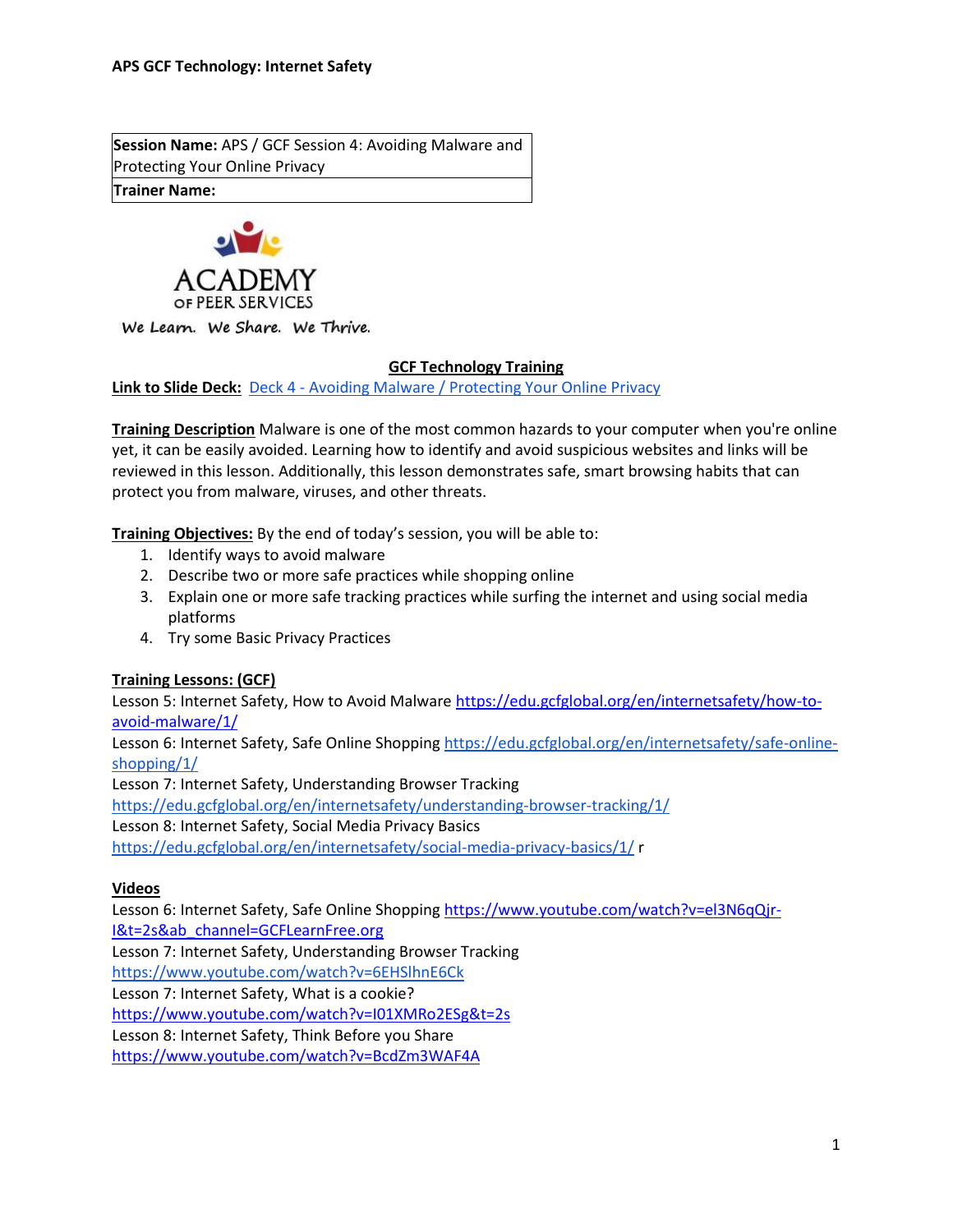**Session Name:** APS / GCF Session 4: Avoiding Malware and Protecting Your Online Privacy

**Trainer Name:**



We Learn. We Share. We Thrive.

## **GCF Technology Training**

**Link to Slide Deck:** Deck 4 - [Avoiding Malware / Protecting Your Online Privacy](https://docs.google.com/presentation/d/1fwXAcHuJZro5A8hsKg_2EaYuHszFoFb9Ctub7tzadQc/edit?usp=sharing)

**Training Description** Malware is one of the most common hazards to your computer when you're online yet, it can be easily avoided. Learning how to identify and avoid suspicious websites and links will be reviewed in this lesson. Additionally, this lesson demonstrates safe, smart browsing habits that can protect you from malware, viruses, and other threats.

**Training Objectives:** By the end of today's session, you will be able to:

- 1. Identify ways to avoid malware
- 2. Describe two or more safe practices while shopping online
- 3. Explain one or more safe tracking practices while surfing the internet and using social media platforms
- 4. Try some Basic Privacy Practices

#### **Training Lessons: (GCF)**

Lesson 5: Internet Safety, How to Avoid Malware [https://edu.gcfglobal.org/en/internetsafety/how-to](https://edu.gcfglobal.org/en/internetsafety/how-to-avoid-malware/1/)[avoid-malware/1/](https://edu.gcfglobal.org/en/internetsafety/how-to-avoid-malware/1/)

Lesson 6: Internet Safety, Safe Online Shopping [https://edu.gcfglobal.org/en/internetsafety/safe-online](https://edu.gcfglobal.org/en/internetsafety/safe-online-shopping/1/)[shopping/1/](https://edu.gcfglobal.org/en/internetsafety/safe-online-shopping/1/)

Lesson 7: Internet Safety, Understanding Browser Tracking <https://edu.gcfglobal.org/en/internetsafety/understanding-browser-tracking/1/> Lesson 8: Internet Safety, Social Media Privacy Basics <https://edu.gcfglobal.org/en/internetsafety/social-media-privacy-basics/1/> r

### **Videos**

Lesson 6: Internet Safety, Safe Online Shopping [https://www.youtube.com/watch?v=el3N6qQjr-](https://www.youtube.com/watch?v=el3N6qQjr-I&t=2s&ab_channel=GCFLearnFree.org)[I&t=2s&ab\\_channel=GCFLearnFree.org](https://www.youtube.com/watch?v=el3N6qQjr-I&t=2s&ab_channel=GCFLearnFree.org) Lesson 7: Internet Safety, Understanding Browser Tracking <https://www.youtube.com/watch?v=6EHSlhnE6Ck> Lesson 7: Internet Safety, What is a cookie? <https://www.youtube.com/watch?v=I01XMRo2ESg&t=2s> Lesson 8: Internet Safety, Think Before you Share <https://www.youtube.com/watch?v=BcdZm3WAF4A>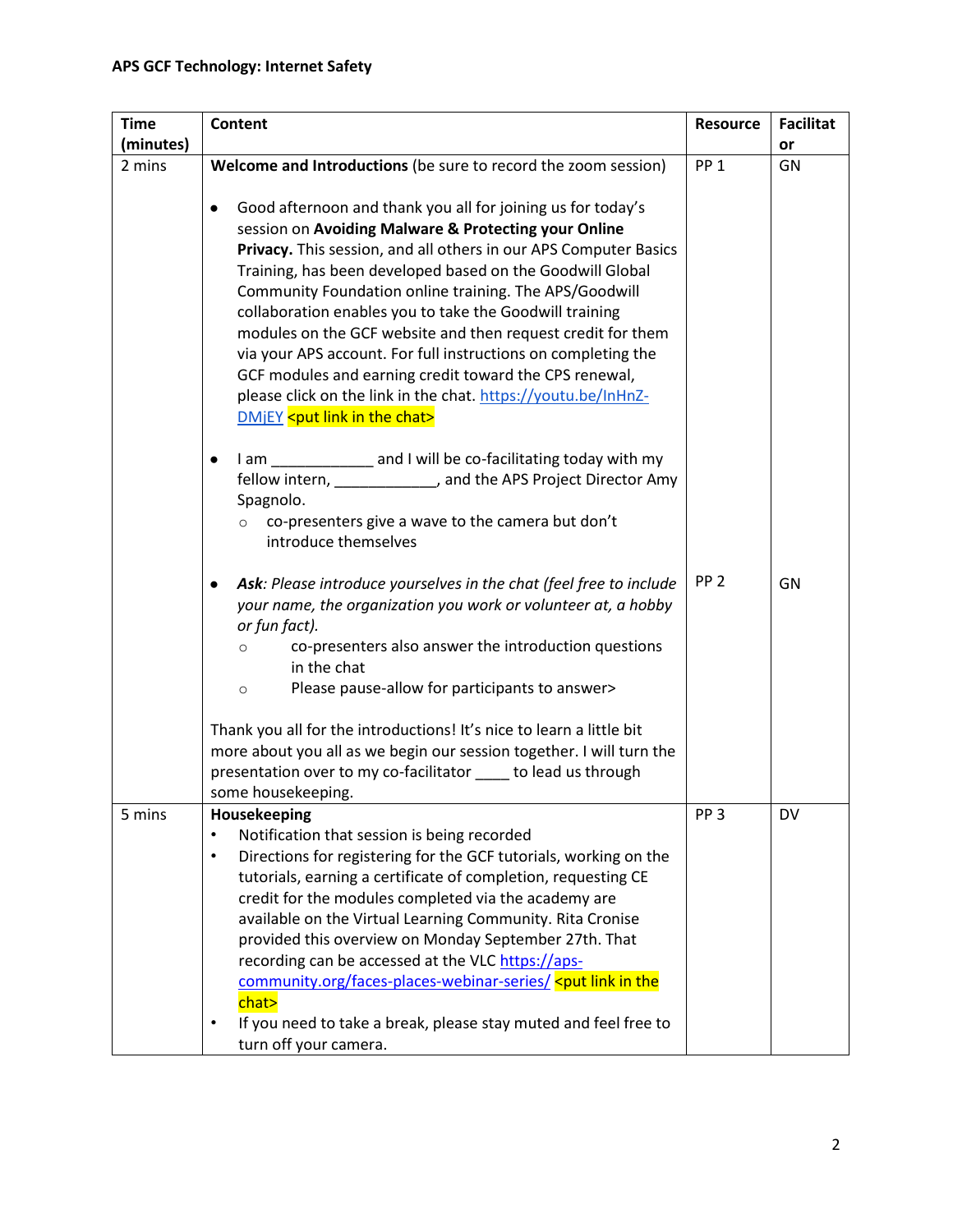# **APS GCF Technology: Internet Safety**

| <b>Time</b> | <b>Content</b>                                                                                                                                                                                                                                                                                                                                                                                                                                                                                                                                                                                                                                                                                      | <b>Resource</b> | <b>Facilitat</b> |
|-------------|-----------------------------------------------------------------------------------------------------------------------------------------------------------------------------------------------------------------------------------------------------------------------------------------------------------------------------------------------------------------------------------------------------------------------------------------------------------------------------------------------------------------------------------------------------------------------------------------------------------------------------------------------------------------------------------------------------|-----------------|------------------|
| (minutes)   |                                                                                                                                                                                                                                                                                                                                                                                                                                                                                                                                                                                                                                                                                                     |                 | or               |
| 2 mins      | Welcome and Introductions (be sure to record the zoom session)                                                                                                                                                                                                                                                                                                                                                                                                                                                                                                                                                                                                                                      | PP <sub>1</sub> | GN               |
|             | Good afternoon and thank you all for joining us for today's<br>$\bullet$<br>session on Avoiding Malware & Protecting your Online<br>Privacy. This session, and all others in our APS Computer Basics<br>Training, has been developed based on the Goodwill Global<br>Community Foundation online training. The APS/Goodwill<br>collaboration enables you to take the Goodwill training<br>modules on the GCF website and then request credit for them<br>via your APS account. For full instructions on completing the<br>GCF modules and earning credit toward the CPS renewal,<br>please click on the link in the chat. https://youtu.be/InHnZ-<br>DMjEY <put chat="" in="" link="" the=""></put> |                 |                  |
|             | I am _____________ and I will be co-facilitating today with my<br>$\bullet$<br>fellow intern, ____________, and the APS Project Director Amy<br>Spagnolo.<br>co-presenters give a wave to the camera but don't<br>$\circ$<br>introduce themselves                                                                                                                                                                                                                                                                                                                                                                                                                                                   |                 |                  |
|             | Ask: Please introduce yourselves in the chat (feel free to include<br>٠<br>your name, the organization you work or volunteer at, a hobby<br>or fun fact).<br>co-presenters also answer the introduction questions<br>$\circ$<br>in the chat<br>Please pause-allow for participants to answer><br>$\circ$<br>Thank you all for the introductions! It's nice to learn a little bit<br>more about you all as we begin our session together. I will turn the<br>presentation over to my co-facilitator ____ to lead us through                                                                                                                                                                          | PP <sub>2</sub> | GN               |
|             | some housekeeping.                                                                                                                                                                                                                                                                                                                                                                                                                                                                                                                                                                                                                                                                                  |                 |                  |
| 5 mins      | Housekeeping<br>Notification that session is being recorded<br>Directions for registering for the GCF tutorials, working on the<br>$\bullet$<br>tutorials, earning a certificate of completion, requesting CE<br>credit for the modules completed via the academy are<br>available on the Virtual Learning Community. Rita Cronise<br>provided this overview on Monday September 27th. That<br>recording can be accessed at the VLC https://aps-<br>community.org/faces-places-webinar-series/ <put in="" link="" the<br="">chat&gt;<br/>If you need to take a break, please stay muted and feel free to<br/>turn off your camera.</put>                                                            | PP <sub>3</sub> | DV               |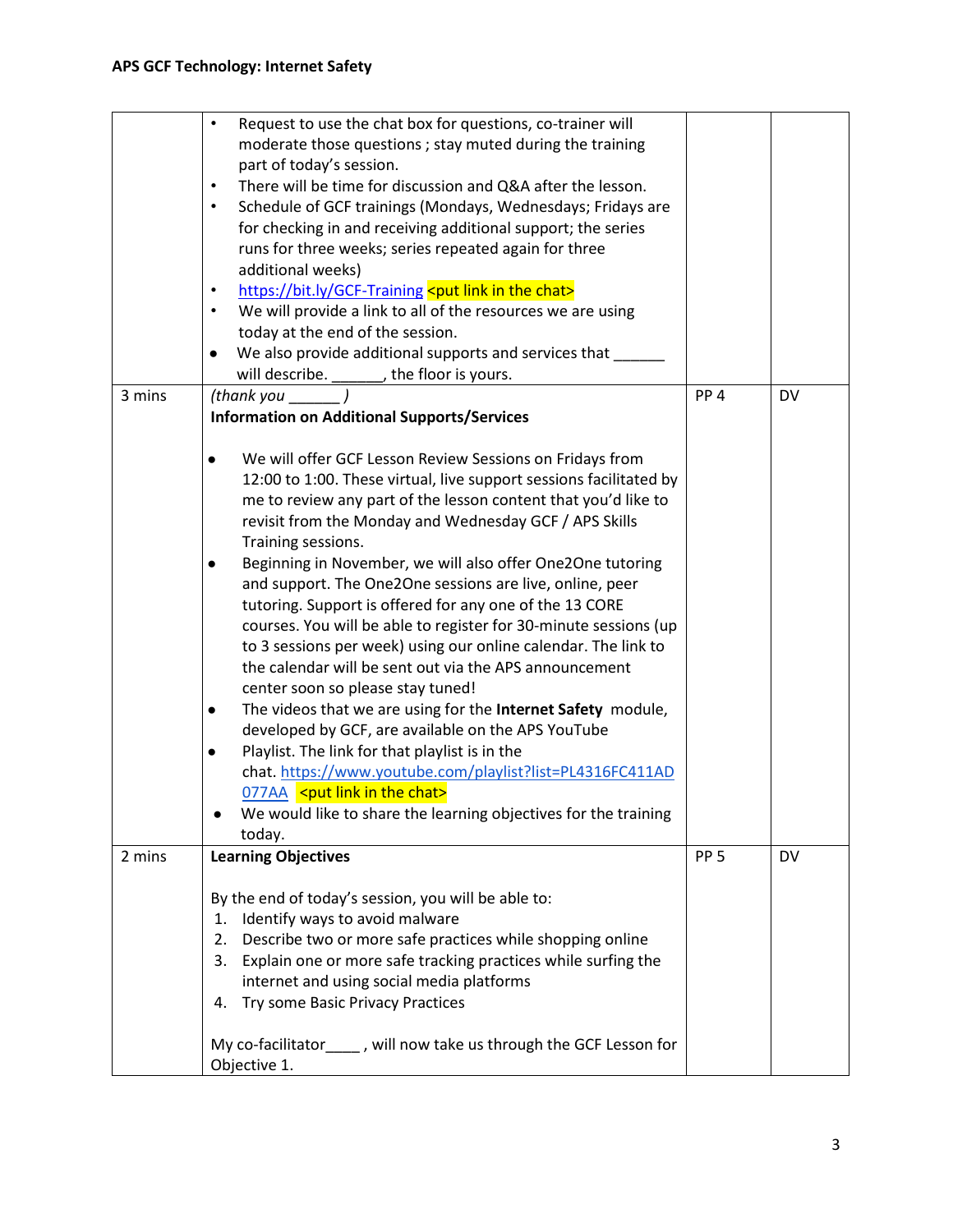|        | Request to use the chat box for questions, co-trainer will<br>$\bullet$<br>moderate those questions ; stay muted during the training<br>part of today's session.<br>There will be time for discussion and Q&A after the lesson.<br>$\bullet$<br>Schedule of GCF trainings (Mondays, Wednesdays; Fridays are<br>$\bullet$ |                 |    |
|--------|--------------------------------------------------------------------------------------------------------------------------------------------------------------------------------------------------------------------------------------------------------------------------------------------------------------------------|-----------------|----|
|        | for checking in and receiving additional support; the series<br>runs for three weeks; series repeated again for three                                                                                                                                                                                                    |                 |    |
|        | additional weeks)                                                                                                                                                                                                                                                                                                        |                 |    |
|        | https://bit.ly/GCF-Training <put chat="" in="" link="" the=""><br/><math display="inline">\bullet</math></put>                                                                                                                                                                                                           |                 |    |
|        | We will provide a link to all of the resources we are using<br>$\bullet$                                                                                                                                                                                                                                                 |                 |    |
|        | today at the end of the session.                                                                                                                                                                                                                                                                                         |                 |    |
|        | We also provide additional supports and services that ____<br>will describe.                                                                                                                                                                                                                                             |                 |    |
| 3 mins | the floor is yours.<br>(thank you                                                                                                                                                                                                                                                                                        | PP <sub>4</sub> | DV |
|        | <b>Information on Additional Supports/Services</b>                                                                                                                                                                                                                                                                       |                 |    |
|        |                                                                                                                                                                                                                                                                                                                          |                 |    |
|        | We will offer GCF Lesson Review Sessions on Fridays from<br>$\bullet$                                                                                                                                                                                                                                                    |                 |    |
|        | 12:00 to 1:00. These virtual, live support sessions facilitated by                                                                                                                                                                                                                                                       |                 |    |
|        | me to review any part of the lesson content that you'd like to                                                                                                                                                                                                                                                           |                 |    |
|        | revisit from the Monday and Wednesday GCF / APS Skills                                                                                                                                                                                                                                                                   |                 |    |
|        | Training sessions.                                                                                                                                                                                                                                                                                                       |                 |    |
|        | Beginning in November, we will also offer One2One tutoring                                                                                                                                                                                                                                                               |                 |    |
|        | and support. The One2One sessions are live, online, peer                                                                                                                                                                                                                                                                 |                 |    |
|        | tutoring. Support is offered for any one of the 13 CORE                                                                                                                                                                                                                                                                  |                 |    |
|        | courses. You will be able to register for 30-minute sessions (up<br>to 3 sessions per week) using our online calendar. The link to                                                                                                                                                                                       |                 |    |
|        | the calendar will be sent out via the APS announcement                                                                                                                                                                                                                                                                   |                 |    |
|        | center soon so please stay tuned!                                                                                                                                                                                                                                                                                        |                 |    |
|        | The videos that we are using for the Internet Safety module,<br>$\bullet$                                                                                                                                                                                                                                                |                 |    |
|        | developed by GCF, are available on the APS YouTube                                                                                                                                                                                                                                                                       |                 |    |
|        | Playlist. The link for that playlist is in the                                                                                                                                                                                                                                                                           |                 |    |
|        | chat. https://www.youtube.com/playlist?list=PL4316FC411AD                                                                                                                                                                                                                                                                |                 |    |
|        | 077AA <put chat="" in="" link="" the=""></put>                                                                                                                                                                                                                                                                           |                 |    |
|        | We would like to share the learning objectives for the training                                                                                                                                                                                                                                                          |                 |    |
|        | today.                                                                                                                                                                                                                                                                                                                   |                 |    |
| 2 mins | <b>Learning Objectives</b>                                                                                                                                                                                                                                                                                               | PP <sub>5</sub> | DV |
|        |                                                                                                                                                                                                                                                                                                                          |                 |    |
|        | By the end of today's session, you will be able to:                                                                                                                                                                                                                                                                      |                 |    |
|        | Identify ways to avoid malware<br>1.<br>Describe two or more safe practices while shopping online<br>2.                                                                                                                                                                                                                  |                 |    |
|        | 3. Explain one or more safe tracking practices while surfing the                                                                                                                                                                                                                                                         |                 |    |
|        | internet and using social media platforms                                                                                                                                                                                                                                                                                |                 |    |
|        | 4. Try some Basic Privacy Practices                                                                                                                                                                                                                                                                                      |                 |    |
|        |                                                                                                                                                                                                                                                                                                                          |                 |    |
|        | My co-facilitator____, will now take us through the GCF Lesson for                                                                                                                                                                                                                                                       |                 |    |
|        | Objective 1.                                                                                                                                                                                                                                                                                                             |                 |    |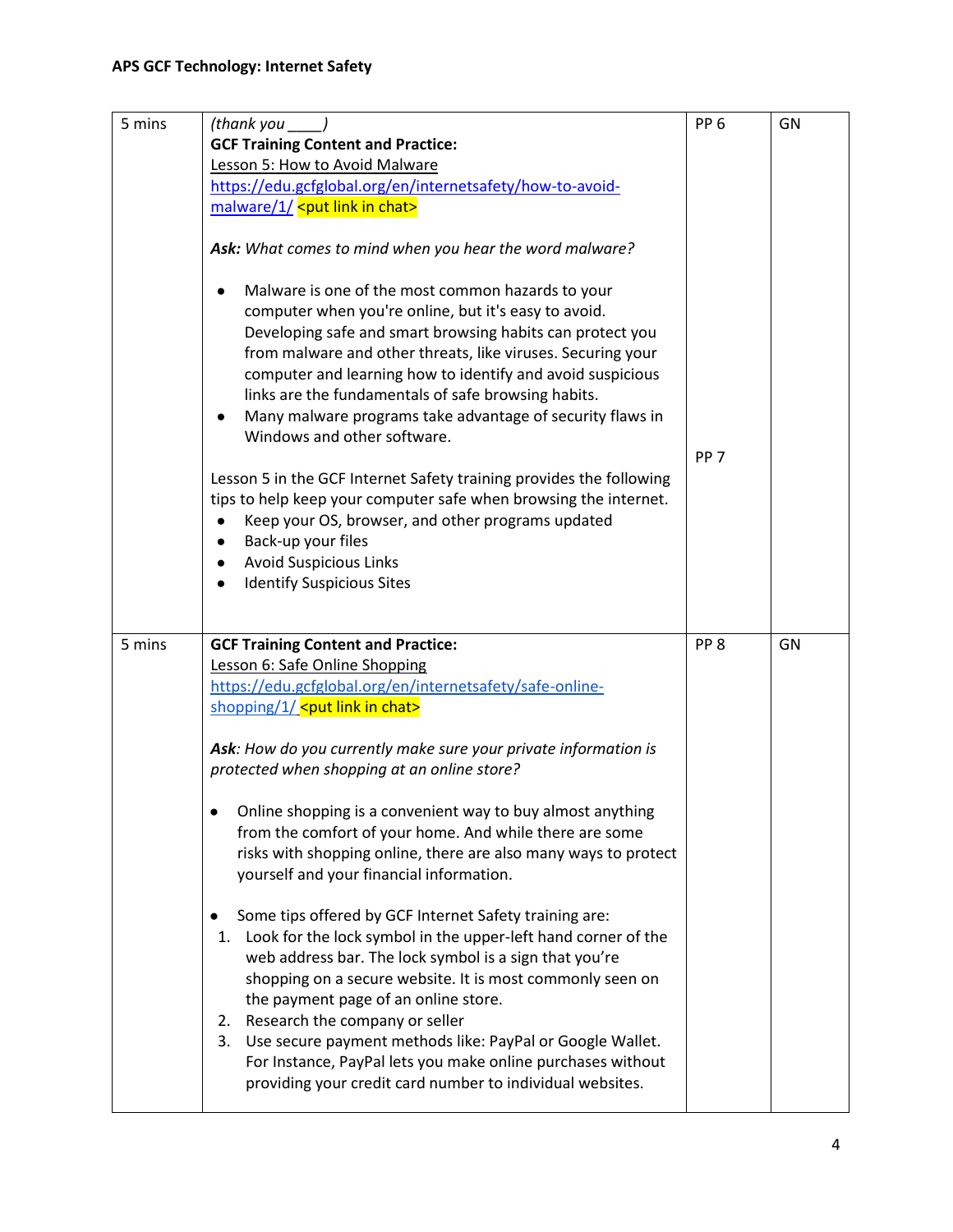# **APS GCF Technology: Internet Safety**

| 5 mins | (thank you $\_$                                                                                                                                                                                                                                                                                                                                                                                                                                                                                                                     | PP <sub>6</sub> | GN |
|--------|-------------------------------------------------------------------------------------------------------------------------------------------------------------------------------------------------------------------------------------------------------------------------------------------------------------------------------------------------------------------------------------------------------------------------------------------------------------------------------------------------------------------------------------|-----------------|----|
|        | <b>GCF Training Content and Practice:</b>                                                                                                                                                                                                                                                                                                                                                                                                                                                                                           |                 |    |
|        | Lesson 5: How to Avoid Malware                                                                                                                                                                                                                                                                                                                                                                                                                                                                                                      |                 |    |
|        | https://edu.gcfglobal.org/en/internetsafety/how-to-avoid-                                                                                                                                                                                                                                                                                                                                                                                                                                                                           |                 |    |
|        | malware/1/ <put chat="" in="" link=""></put>                                                                                                                                                                                                                                                                                                                                                                                                                                                                                        |                 |    |
|        | Ask: What comes to mind when you hear the word malware?                                                                                                                                                                                                                                                                                                                                                                                                                                                                             |                 |    |
|        | Malware is one of the most common hazards to your<br>computer when you're online, but it's easy to avoid.<br>Developing safe and smart browsing habits can protect you<br>from malware and other threats, like viruses. Securing your<br>computer and learning how to identify and avoid suspicious<br>links are the fundamentals of safe browsing habits.<br>Many malware programs take advantage of security flaws in<br>$\bullet$<br>Windows and other software.                                                                 |                 |    |
|        | Lesson 5 in the GCF Internet Safety training provides the following<br>tips to help keep your computer safe when browsing the internet.<br>Keep your OS, browser, and other programs updated<br>Back-up your files<br>Avoid Suspicious Links<br><b>Identify Suspicious Sites</b><br>$\bullet$                                                                                                                                                                                                                                       | PP <sub>7</sub> |    |
| 5 mins | <b>GCF Training Content and Practice:</b>                                                                                                                                                                                                                                                                                                                                                                                                                                                                                           | PP <sub>8</sub> | GN |
|        | Lesson 6: Safe Online Shopping                                                                                                                                                                                                                                                                                                                                                                                                                                                                                                      |                 |    |
|        | https://edu.gcfglobal.org/en/internetsafety/safe-online-                                                                                                                                                                                                                                                                                                                                                                                                                                                                            |                 |    |
|        | shopping/1/ <put chat="" in="" link=""></put>                                                                                                                                                                                                                                                                                                                                                                                                                                                                                       |                 |    |
|        | Ask: How do you currently make sure your private information is<br>protected when shopping at an online store?                                                                                                                                                                                                                                                                                                                                                                                                                      |                 |    |
|        | Online shopping is a convenient way to buy almost anything<br>from the comfort of your home. And while there are some<br>risks with shopping online, there are also many ways to protect<br>yourself and your financial information.                                                                                                                                                                                                                                                                                                |                 |    |
|        | Some tips offered by GCF Internet Safety training are:<br>Look for the lock symbol in the upper-left hand corner of the<br>1.<br>web address bar. The lock symbol is a sign that you're<br>shopping on a secure website. It is most commonly seen on<br>the payment page of an online store.<br>Research the company or seller<br>2.<br>Use secure payment methods like: PayPal or Google Wallet.<br>3.<br>For Instance, PayPal lets you make online purchases without<br>providing your credit card number to individual websites. |                 |    |
|        |                                                                                                                                                                                                                                                                                                                                                                                                                                                                                                                                     |                 |    |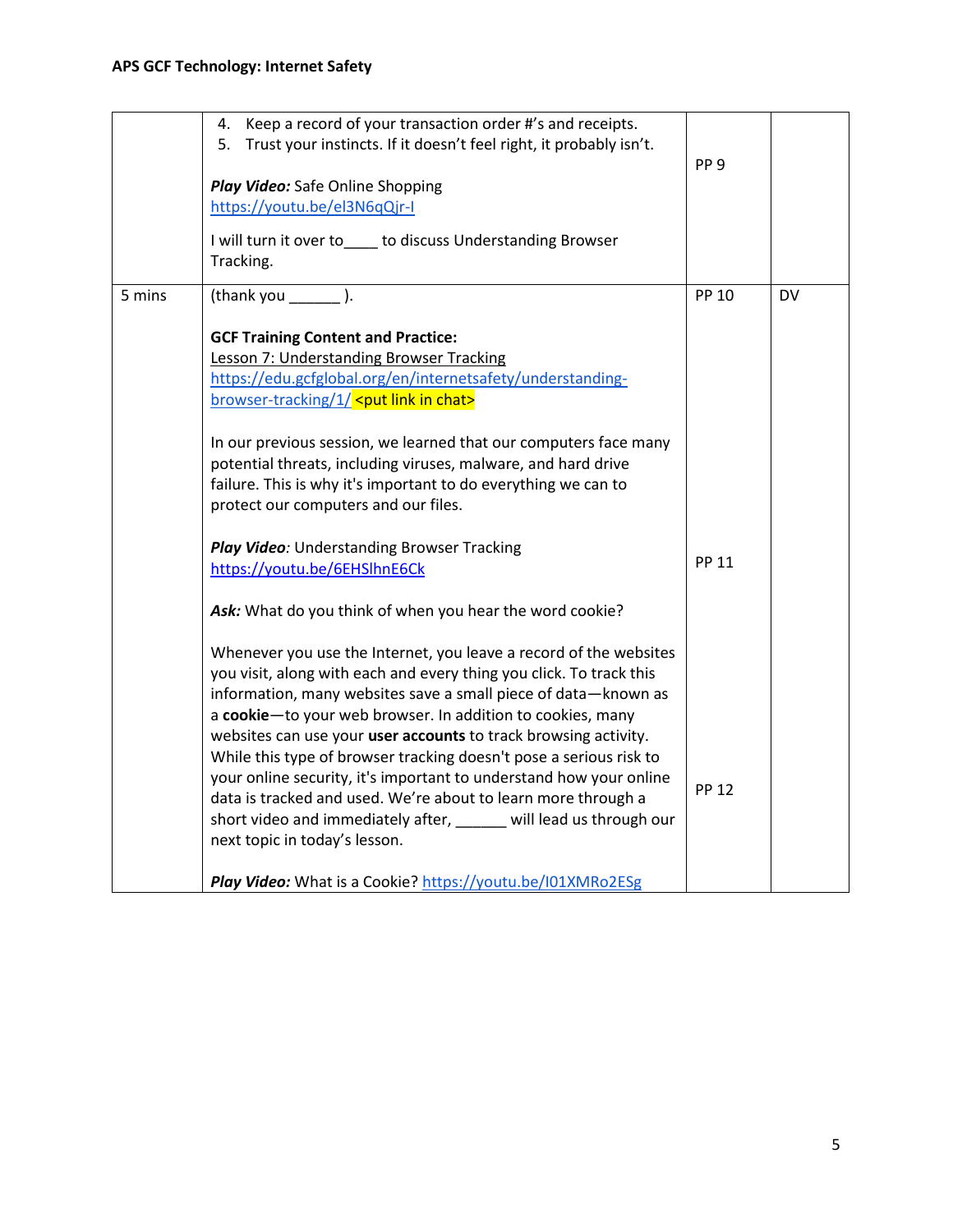|        | 4. Keep a record of your transaction order #'s and receipts.          |                 |           |
|--------|-----------------------------------------------------------------------|-----------------|-----------|
|        | 5. Trust your instincts. If it doesn't feel right, it probably isn't. |                 |           |
|        |                                                                       | PP <sub>9</sub> |           |
|        | Play Video: Safe Online Shopping                                      |                 |           |
|        | https://youtu.be/el3N6qQjr-I                                          |                 |           |
|        |                                                                       |                 |           |
|        | I will turn it over to____ to discuss Understanding Browser           |                 |           |
|        | Tracking.                                                             |                 |           |
|        |                                                                       |                 |           |
| 5 mins | (thank you $\frac{1}{\sqrt{1-\frac{1}{2}}}\$ ).                       | PP 10           | <b>DV</b> |
|        |                                                                       |                 |           |
|        | <b>GCF Training Content and Practice:</b>                             |                 |           |
|        | Lesson 7: Understanding Browser Tracking                              |                 |           |
|        | https://edu.gcfglobal.org/en/internetsafety/understanding-            |                 |           |
|        | browser-tracking/1/ <put chat="" in="" link=""></put>                 |                 |           |
|        |                                                                       |                 |           |
|        | In our previous session, we learned that our computers face many      |                 |           |
|        | potential threats, including viruses, malware, and hard drive         |                 |           |
|        |                                                                       |                 |           |
|        | failure. This is why it's important to do everything we can to        |                 |           |
|        | protect our computers and our files.                                  |                 |           |
|        |                                                                       |                 |           |
|        | Play Video: Understanding Browser Tracking                            | PP 11           |           |
|        | https://youtu.be/6EHSlhnE6Ck                                          |                 |           |
|        | Ask: What do you think of when you hear the word cookie?              |                 |           |
|        |                                                                       |                 |           |
|        | Whenever you use the Internet, you leave a record of the websites     |                 |           |
|        | you visit, along with each and every thing you click. To track this   |                 |           |
|        | information, many websites save a small piece of data-known as        |                 |           |
|        | a cookie-to your web browser. In addition to cookies, many            |                 |           |
|        | websites can use your user accounts to track browsing activity.       |                 |           |
|        |                                                                       |                 |           |
|        | While this type of browser tracking doesn't pose a serious risk to    |                 |           |
|        | your online security, it's important to understand how your online    | PP 12           |           |
|        | data is tracked and used. We're about to learn more through a         |                 |           |
|        | short video and immediately after, _____ will lead us through our     |                 |           |
|        | next topic in today's lesson.                                         |                 |           |
|        | Play Video: What is a Cookie? https://youtu.be/I01XMRo2ESg            |                 |           |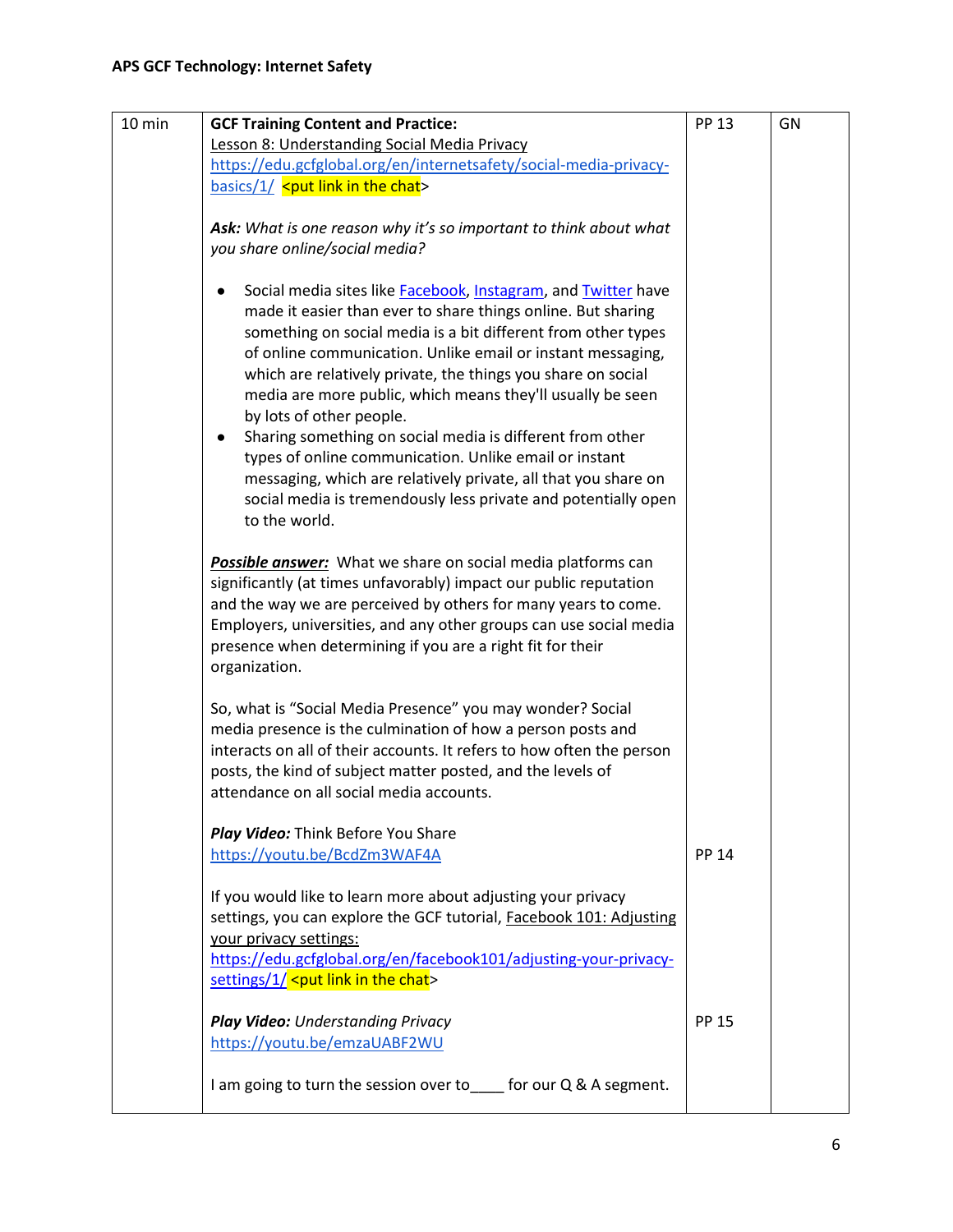| 10 min | <b>GCF Training Content and Practice:</b>                                    | PP 13        | GN |
|--------|------------------------------------------------------------------------------|--------------|----|
|        | Lesson 8: Understanding Social Media Privacy                                 |              |    |
|        | https://edu.gcfglobal.org/en/internetsafety/social-media-privacy-            |              |    |
|        | basics/ $1/$ <put chat="" in="" link="" the=""></put>                        |              |    |
|        |                                                                              |              |    |
|        | Ask: What is one reason why it's so important to think about what            |              |    |
|        | you share online/social media?                                               |              |    |
|        |                                                                              |              |    |
|        | Social media sites like <b>Facebook</b> , Instagram, and <b>Twitter</b> have |              |    |
|        | made it easier than ever to share things online. But sharing                 |              |    |
|        | something on social media is a bit different from other types                |              |    |
|        | of online communication. Unlike email or instant messaging,                  |              |    |
|        | which are relatively private, the things you share on social                 |              |    |
|        | media are more public, which means they'll usually be seen                   |              |    |
|        | by lots of other people.                                                     |              |    |
|        | Sharing something on social media is different from other                    |              |    |
|        | types of online communication. Unlike email or instant                       |              |    |
|        | messaging, which are relatively private, all that you share on               |              |    |
|        | social media is tremendously less private and potentially open               |              |    |
|        | to the world.                                                                |              |    |
|        | <b>Possible answer:</b> What we share on social media platforms can          |              |    |
|        | significantly (at times unfavorably) impact our public reputation            |              |    |
|        | and the way we are perceived by others for many years to come.               |              |    |
|        | Employers, universities, and any other groups can use social media           |              |    |
|        | presence when determining if you are a right fit for their                   |              |    |
|        | organization.                                                                |              |    |
|        |                                                                              |              |    |
|        | So, what is "Social Media Presence" you may wonder? Social                   |              |    |
|        | media presence is the culmination of how a person posts and                  |              |    |
|        | interacts on all of their accounts. It refers to how often the person        |              |    |
|        | posts, the kind of subject matter posted, and the levels of                  |              |    |
|        | attendance on all social media accounts.                                     |              |    |
|        |                                                                              |              |    |
|        | Play Video: Think Before You Share                                           |              |    |
|        | https://youtu.be/BcdZm3WAF4A                                                 | <b>PP 14</b> |    |
|        | If you would like to learn more about adjusting your privacy                 |              |    |
|        | settings, you can explore the GCF tutorial, Facebook 101: Adjusting          |              |    |
|        | your privacy settings:                                                       |              |    |
|        | https://edu.gcfglobal.org/en/facebook101/adjusting-your-privacy-             |              |    |
|        | settings/ $1/$ <put chat="" in="" link="" the=""></put>                      |              |    |
|        |                                                                              |              |    |
|        | Play Video: Understanding Privacy                                            | <b>PP 15</b> |    |
|        | https://youtu.be/emzaUABF2WU                                                 |              |    |
|        |                                                                              |              |    |
|        | I am going to turn the session over to ____ for our Q & A segment.           |              |    |
|        |                                                                              |              |    |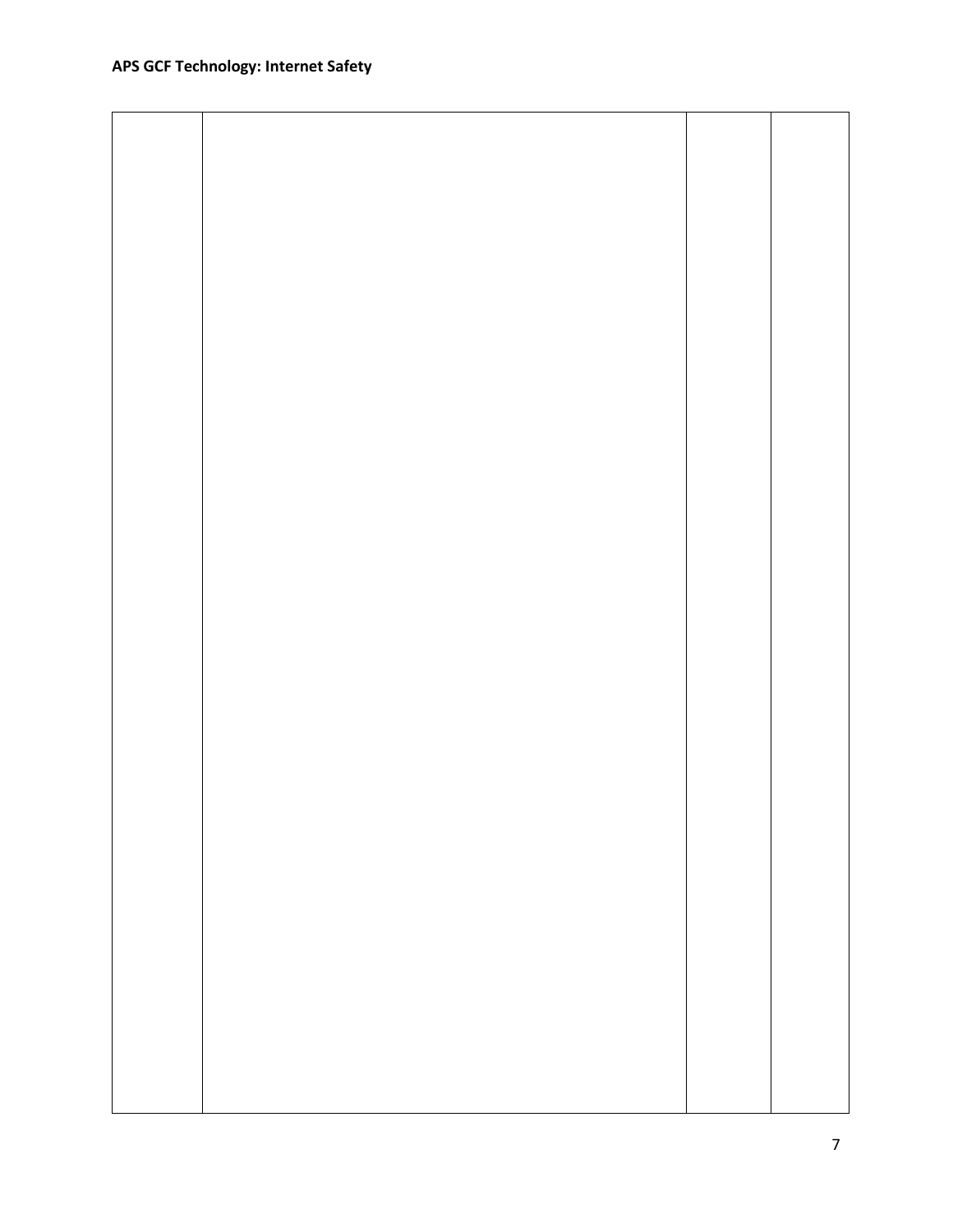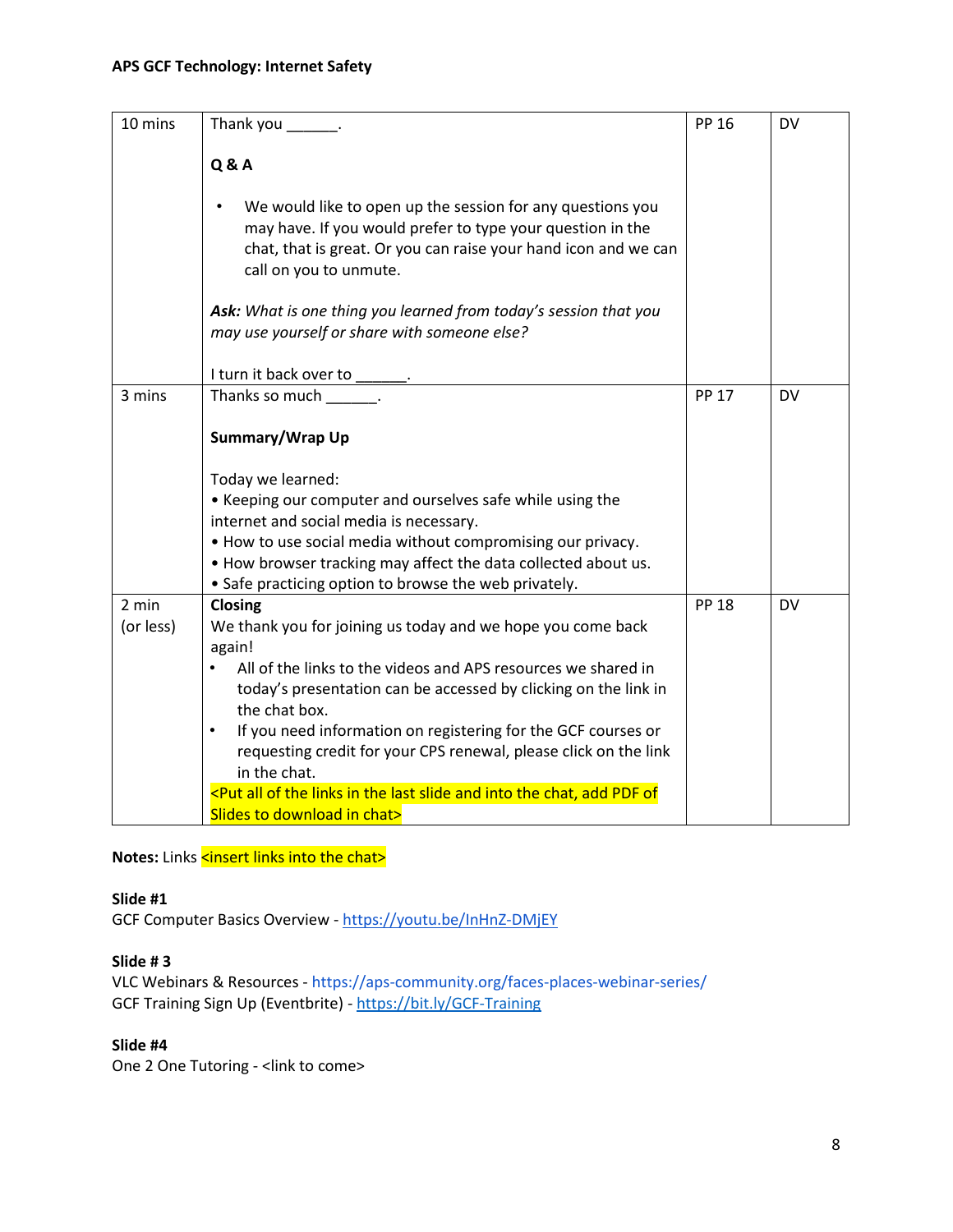| 10 mins   | Thank you ________.                                                                                                                                                                                                   | PP 16        | <b>DV</b> |
|-----------|-----------------------------------------------------------------------------------------------------------------------------------------------------------------------------------------------------------------------|--------------|-----------|
|           | <b>Q&amp;A</b>                                                                                                                                                                                                        |              |           |
|           | We would like to open up the session for any questions you<br>may have. If you would prefer to type your question in the<br>chat, that is great. Or you can raise your hand icon and we can<br>call on you to unmute. |              |           |
|           | Ask: What is one thing you learned from today's session that you<br>may use yourself or share with someone else?                                                                                                      |              |           |
|           | I turn it back over to _______.                                                                                                                                                                                       |              |           |
| 3 mins    | Thanks so much ______                                                                                                                                                                                                 | <b>PP 17</b> | <b>DV</b> |
|           | Summary/Wrap Up                                                                                                                                                                                                       |              |           |
|           | Today we learned:<br>• Keeping our computer and ourselves safe while using the<br>internet and social media is necessary.                                                                                             |              |           |
|           | . How to use social media without compromising our privacy.<br>. How browser tracking may affect the data collected about us.<br>• Safe practicing option to browse the web privately.                                |              |           |
| 2 min     | Closing                                                                                                                                                                                                               | <b>PP 18</b> | <b>DV</b> |
| (or less) | We thank you for joining us today and we hope you come back                                                                                                                                                           |              |           |
|           | again!<br>All of the links to the videos and APS resources we shared in<br>$\bullet$                                                                                                                                  |              |           |
|           | today's presentation can be accessed by clicking on the link in                                                                                                                                                       |              |           |
|           | the chat box.                                                                                                                                                                                                         |              |           |
|           | If you need information on registering for the GCF courses or                                                                                                                                                         |              |           |
|           | requesting credit for your CPS renewal, please click on the link<br>in the chat.                                                                                                                                      |              |           |
|           | <put add="" all="" and="" chat,="" in="" into="" last="" links="" of="" of<="" pdf="" slide="" td="" the=""><td></td><td></td></put>                                                                                  |              |           |
|           | Slides to download in chat>                                                                                                                                                                                           |              |           |

**Notes:** Links <insert links into the chat>

# **Slide #1**

GCF Computer Basics Overview - <https://youtu.be/InHnZ-DMjEY>

### **Slide # 3**

VLC Webinars & Resources - <https://aps-community.org/faces-places-webinar-series/> GCF Training Sign Up (Eventbrite) - [https://bit.ly/GCF-Training](https://nam02.safelinks.protection.outlook.com/?url=https%3A%2F%2Fbit.ly%2FGCF-Training&data=04%7C01%7Cspagnoam%40shp.rutgers.edu%7Ca771708c45ee45bfa8b908d97d2b744f%7Cb92d2b234d35447093ff69aca6632ffe%7C1%7C0%7C637678447859905937%7CUnknown%7CTWFpbGZsb3d8eyJWIjoiMC4wLjAwMDAiLCJQIjoiV2luMzIiLCJBTiI6Ik1haWwiLCJXVCI6Mn0%3D%7C1000&sdata=0tl1qWs56sKGwpa0dIhCG6bx7PzkwdcuGU3Z%2FvBVR7Y%3D&reserved=0)

# **Slide #4**

One 2 One Tutoring - <link to come>